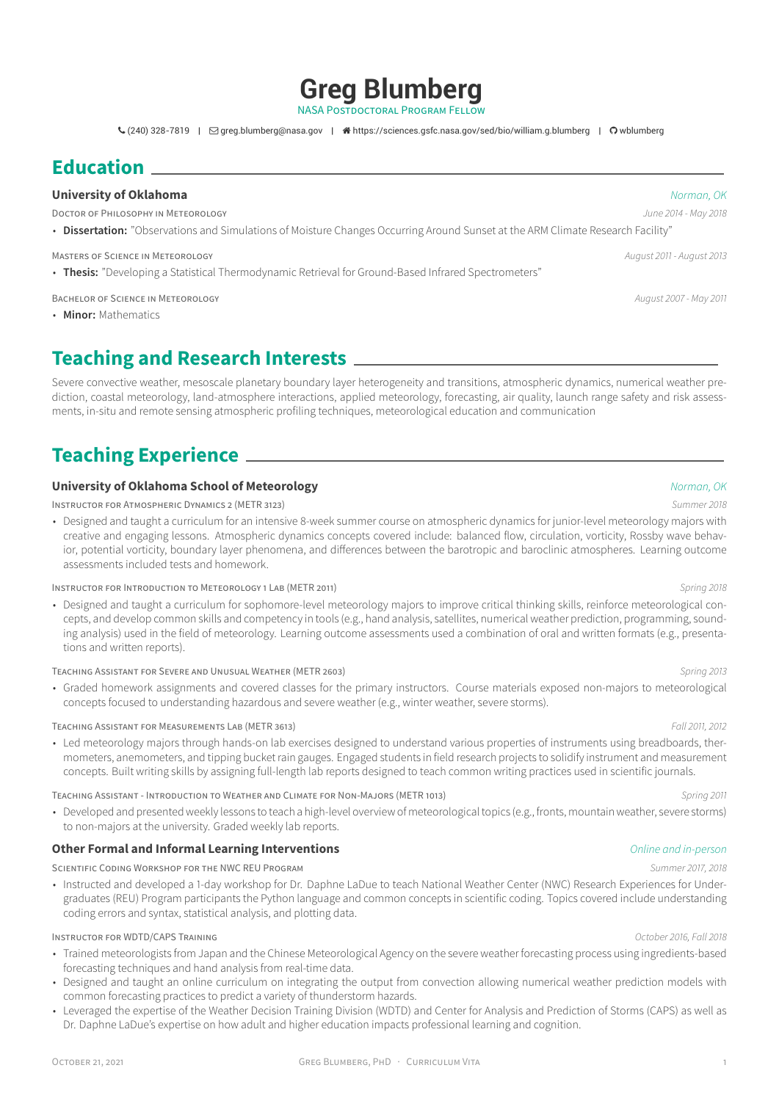### OCTOBER 21, 2021 CREG BLUMBERG, PHD · CURRICULUM VITA

- Trained meteorologists from Japan and the Chinese Meteorological Agency on the severe weather forecasting process using ingredients-based forecasting techniques and hand analysis from real-time data.
- Designed and taught an online curriculum on integrating the output from convection allowing numerical weather prediction models with common forecasting practices to predict a variety of thunderstorm hazards.
- Leveraged the expertise of the Weather Decision Training Division (WDTD) and Center for Analysis and Prediction of Storms (CAPS) as well as Dr. Daphne LaDue's expertise on how adult and higher education impacts professional learning and cognition.

• Designed and taught a curriculum for sophomore-level meteorology majors to improve critical thinking skills, reinforce meteorological concepts, and develop common skills and competency in tools (e.g., hand analysis, satellites, numerical weather prediction, programming, sounding analysis) used in the field of meteorology. Learning outcome assessments used a combination of oral and written formats (e.g., presenta-

• Graded homework assignments and covered classes for the primary instructors. Course materials exposed non-majors to meteorological

### TEACHING ASSISTANT FOR MEASUREMENTS LAB (METR 3613) *Fall 2011, 2012*

• Led meteorology majors through hands-on lab exercises designed to understand various properties of instruments using breadboards, thermometers, anemometers, and tipping bucket rain gauges. Engaged students in field research projects to solidify instrument and measurement

TEACHING ASSISTANT - INTRODUCTION TO WEATHER AND CLIMATE FOR NON-MAJORS (METR 1013) *Spring 2011*

• Developed and presented weekly lessons to teach a high-level overview of meteorological topics (e.g., fronts, mountain weather, severe storms)

### **Other Formal and Informal Learning Interventions** *Online and in-person*

SCIENTIFIC CODING WORKSHOP FOR THE NWC REU PROGRAM *Summer 2017, 2018*

• Instructed and developed a 1-day workshop for Dr. Daphne LaDue to teach National Weather Center (NWC) Research Experiences for Undergraduates (REU) Program participants the Python language and common concepts in scientific coding. Topics covered include understanding coding errors and syntax, statistical analysis, and plotting data.

### INSTRUCTOR FOR WDTD/CAPS TRAINING *October 2016, Fall 2018*



# **Greg Blumberg**

NASA POSTDOCTORAL PROGRAM FELLOW

 $\zeta(240)$  328-7819 |  $\Box$  [greg.blumberg@nasa.gov](mailto:greg.blumberg@nasa.gov) |  $\hat{\mathcal{A}}$  [https://sciences.gsfc.nasa.gov/sed/bio/william.g.blumberg](http://https://sciences.gsfc.nasa.gov/sed/bio/william.g.blumberg) |  $\Omega$  [wblumberg](https://github.com/wblumberg)

## **Education**

### **University of Oklahoma** *Norman, OK*

DOCTOR OF PHILOSOPHY IN METEOROLOGY *June 2014 - May 2018*

• **Dissertation:** ["Observations and Simulations of Moisture Changes Occurring Around Sunset at the ARM Climate Research Facility"](https://shareok.org/handle/11244/299948)

MASTERS OF SCIENCE IN METEOROLOGY *August 2011 - August 2013*

• **Thesis:** "Developing a Statistical Thermodynamic Retrieval for Ground-Based Infrared Spectrometers"

BACHELOR OF SCIENCE IN METEOROLOGY *August 2007 - May 2011*

• **Minor:** Mathematics

## **Teaching and Research Interests**

Severe convective weather, mesoscale planetary boundary layer heterogeneity and transitions, atmospheric dynamics, numerical weather prediction, coastal meteorology, land-atmosphere interactions, applied meteorology, forecasting, air quality, launch range safety and risk assessments, in-situ and remote sensing atmospheric profiling techniques, meteorological education and communication

# **Teaching Experience**

### **University of Oklahoma School of Meteorology** *Norman, OK*

INSTRUCTOR FOR ATMOSPHERIC DYNAMICS 2 (METR 3123) *Summer 2018*

• Designed and taught a curriculum for an intensive 8-week summer course on atmospheric dynamics for junior-level meteorology majors with creative and engaging lessons. Atmospheric dynamics concepts covered include: balanced flow, circulation, vorticity, Rossby wave behavior, potential vorticity, boundary layer phenomena, and differences between the barotropic and baroclinic atmospheres. Learning outcome assessments included tests and homework.

### INSTRUCTOR FOR INTRODUCTION TO METEOROLOGY 1 LAB (METR 2011) *Spring 2018*

tions and written reports).

TEACHING ASSISTANT FOR SEVERE AND UNUSUAL WEATHER (METR 2603) *Spring 2013*

concepts focused to understanding hazardous and severe weather (e.g., winter weather, severe storms).

concepts. Built writing skills by assigning full-length lab reports designed to teach common writing practices used in scientific journals.

to non-majors at the university. Graded weekly lab reports.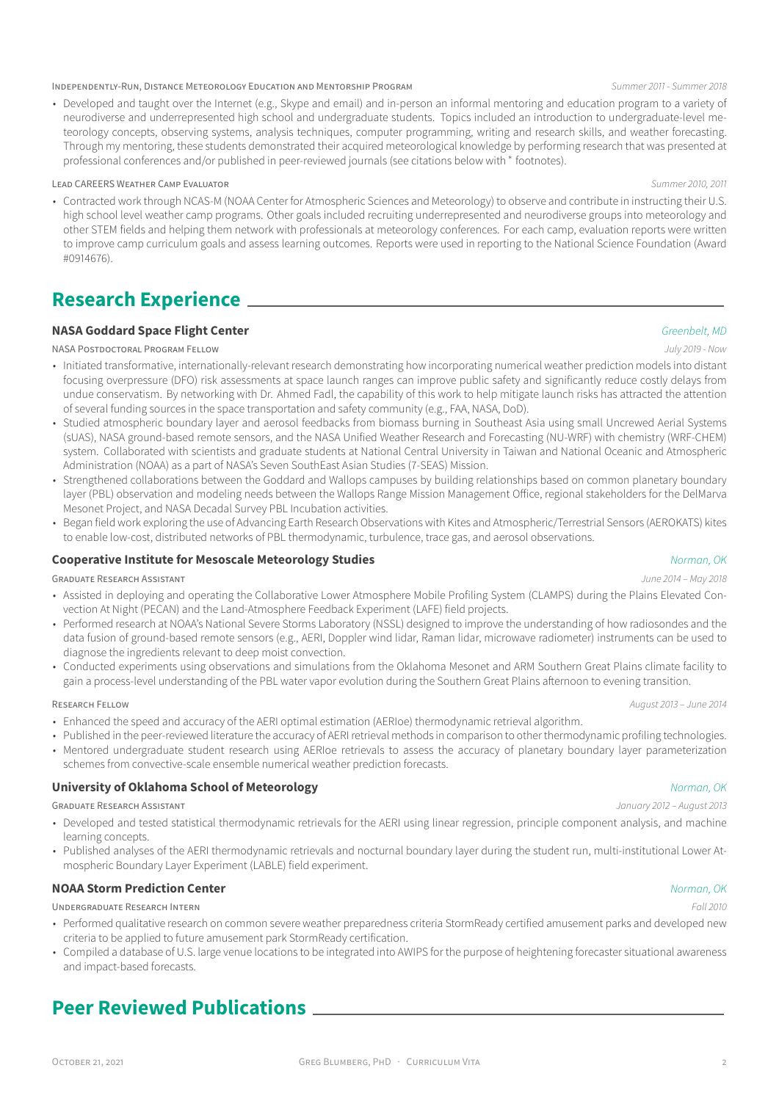### INDEPENDENTLY-RUN, DISTANCE METEOROLOGY EDUCATION AND MENTORSHIP PROGRAM *Summer 2011 - Summer 2018*

• Developed and taught over the Internet (e.g., Skype and email) and in-person an informal mentoring and education program to a variety of neurodiverse and underrepresented high school and undergraduate students. Topics included an introduction to undergraduate-level meteorology concepts, observing systems, analysis techniques, computer programming, writing and research skills, and weather forecasting. Through my mentoring, these students demonstrated their acquired meteorological knowledge by performing research that was presented at professional conferences and/or published in peer-reviewed journals (see citations below with \* footnotes).

### LEAD CAREERS WEATHER CAMP EVALUATOR *Summer 2010, 2011*

• Contracted work through NCAS-M (NOAA Center for Atmospheric Sciences and Meteorology) to observe and contribute in instructing their U.S. high school level weather camp programs. Other goals included recruiting underrepresented and neurodiverse groups into meteorology and other STEM fields and helping them network with professionals at meteorology conferences. For each camp, evaluation reports were written to improve camp curriculum goals and assess learning outcomes. Reports were used in reporting to the National Science Foundation (Award #0914676).

## **Research Experience**

### **NASA Goddard Space Flight Center** *Greenbelt, MD*

### NASA POSTDOCTORAL PROGRAM FELLOW *July 2019 - Now*

- Initiated transformative, internationally-relevant research demonstrating how incorporating numerical weather prediction models into distant focusing overpressure (DFO) risk assessments at space launch ranges can improve public safety and significantly reduce costly delays from undue conservatism. By networking with Dr. Ahmed Fadl, the capability of this work to help mitigate launch risks has attracted the attention of several funding sources in the space transportation and safety community (e.g., FAA, NASA, DoD).
- Studied atmospheric boundary layer and aerosol feedbacks from biomass burning in Southeast Asia using small Uncrewed Aerial Systems (sUAS), NASA ground-based remote sensors, and the NASA Unified Weather Research and Forecasting (NU-WRF) with chemistry (WRF-CHEM) system. Collaborated with scientists and graduate students at National Central University in Taiwan and National Oceanic and Atmospheric Administration (NOAA) as a part of NASA's Seven SouthEast Asian Studies (7-SEAS) Mission.
- Strengthened collaborations between the Goddard and Wallops campuses by building relationships based on common planetary boundary layer (PBL) observation and modeling needs between the Wallops Range Mission Management Office, regional stakeholders for the DelMarva Mesonet Project, and NASA Decadal Survey PBL Incubation activities.
- Began field work exploring the use of Advancing Earth Research Observations with Kites and Atmospheric/Terrestrial Sensors (AEROKATS) kites to enable low-cost, distributed networks of PBL thermodynamic, turbulence, trace gas, and aerosol observations.

### **Cooperative Institute for Mesoscale Meteorology Studies** *Norman, OK*

### GRADUATE RESEARCH ASSISTANT *June 2014 – May 2018*

- Assisted in deploying and operating the [Collaborative Lower Atmosphere Mobile Profiling System](http://www.nssl.noaa.gov/users/dturner/public_html/CLAMPS/) (CLAMPS) during the [Plains Elevated Con](https://www.eol.ucar.edu/field_projects/pecan)[vection At Night](https://www.eol.ucar.edu/field_projects/pecan) (PECAN) and the Land-Atmosphere Feedback Experiment (LAFE) field projects.
- Performed research at NOAA's National Severe Storms Laboratory (NSSL) designed to improve the understanding of how radiosondes and the data fusion of ground-based remote sensors (e.g., AERI, Doppler wind lidar, Raman lidar, microwave radiometer) instruments can be used to diagnose the ingredients relevant to deep moist convection.
- Conducted experiments using observations and simulations from the Oklahoma Mesonet and ARM Southern Great Plains climate facility to gain a process-level understanding of the PBL water vapor evolution during the Southern Great Plains afternoon to evening transition.

### RESEARCH FELLOW *August 2013 – June 2014*

- Enhanced the speed and accuracy of the AERI optimal estimation (AERIoe) thermodynamic retrieval algorithm.
- Published in the peer-reviewed literature the accuracy of AERI retrieval methods in comparison to other thermodynamic profiling technologies.
- Mentored undergraduate student research using AERIoe retrievals to assess the accuracy of planetary boundary layer parameterization schemes from convective-scale ensemble numerical weather prediction forecasts.

### **University of Oklahoma School of Meteorology** *Norman, OK*

GRADUATE RESEARCH ASSISTANT *January 2012 – August 2013*

- Developed and tested statistical thermodynamic retrievals for the AERI using linear regression, principle component analysis, and machine learning concepts.
- Published analyses of the AERI thermodynamic retrievals and nocturnal boundary layer during the student run, multi-institutional Lower Atmospheric Boundary Layer Experiment (LABLE) field experiment.

### **NOAA Storm Prediction Center** *Norman, OK*

UNDERGRADUATE RESEARCH INTERN *Fall 2010*

- Performed qualitative research on common severe weather preparedness criteria StormReady certified amusement parks and developed new criteria to be applied to future amusement park StormReady certification.
- Compiled a database of U.S. large venue locations to be integrated into AWIPS for the purpose of heightening forecaster situational awareness and impact-based forecasts.

## **Peer Reviewed Publications**

### OCTOBER 21, 2021 CREG BLUMBERG, PHD · CURRICULUM VITA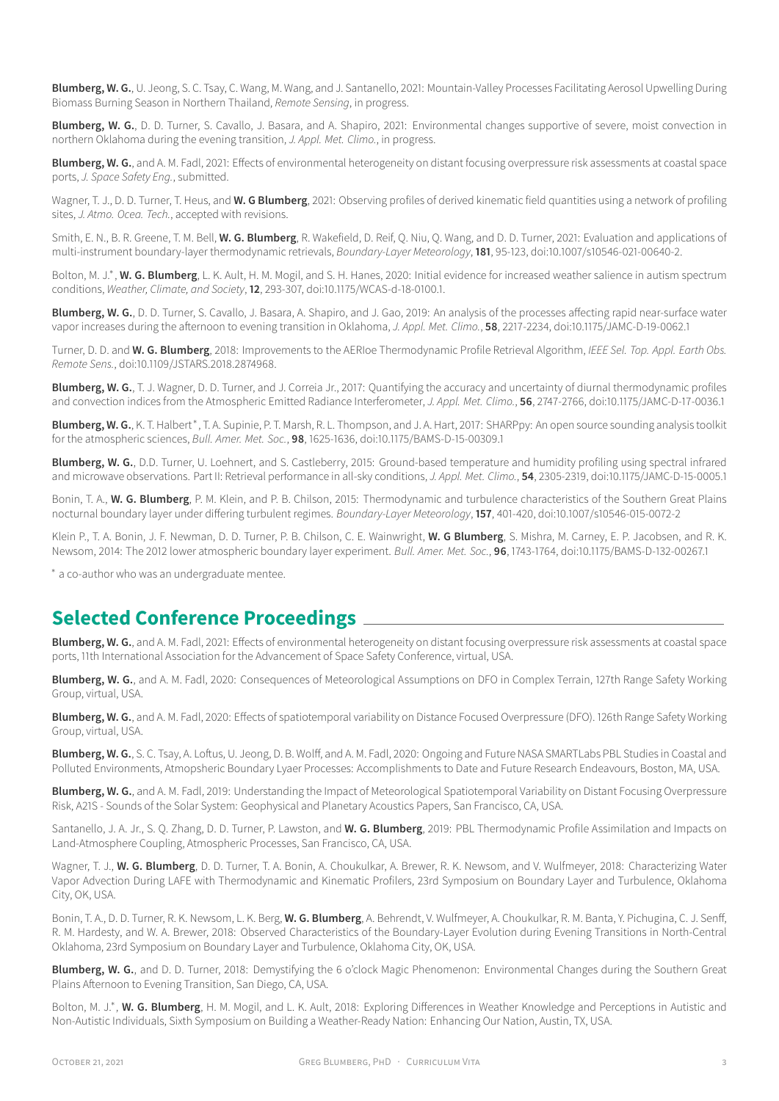**Blumberg, W. G.**, U. Jeong, S. C. Tsay, C. Wang, M. Wang, and J. Santanello, 2021: Mountain-Valley Processes Facilitating Aerosol Upwelling During Biomass Burning Season in Northern Thailand, *Remote Sensing*, in progress.

**Blumberg, W. G.**, D. D. Turner, S. Cavallo, J. Basara, and A. Shapiro, 2021: Environmental changes supportive of severe, moist convection in northern Oklahoma during the evening transition, *J. Appl. Met. Climo.*, in progress.

**Blumberg, W. G.**, and A. M. Fadl, 2021: Effects of environmental heterogeneity on distant focusing overpressure risk assessments at coastal space ports, *J. Space Safety Eng.*, submitted.

Wagner, T. J., D. D. Turner, T. Heus, and **W. G Blumberg**, 2021: Observing profiles of derived kinematic field quantities using a network of profiling sites, *J. Atmo. Ocea. Tech.*, accepted with revisions.

Smith, E. N., B. R. Greene, T. M. Bell, **W. G. Blumberg**, R. Wakefield, D. Reif, Q. Niu, Q. Wang, and D. D. Turner, 2021: [Evaluation and applications of](https://link.springer.com/article/10.1007/s10546-021-00640-2) [multi-instrument boundary-layer thermodynamic retrievals](https://link.springer.com/article/10.1007/s10546-021-00640-2), *Boundary-Layer Meteorology*, **181**, 95-123, doi:10.1007/s10546-021-00640-2.

Bolton, M. J.\*, W. G. Blumberg, L. K. Ault, H. M. Mogil, and S. H. Hanes, 2020: [Initial evidence for increased weather salience in autism spectrum](https://journals.ametsoc.org/view/journals/wcas/12/2/wcas-d-18-0100.1.xml?tab_body=fulltext-display) [conditions](https://journals.ametsoc.org/view/journals/wcas/12/2/wcas-d-18-0100.1.xml?tab_body=fulltext-display), *Weather, Climate, and Society*, **12**, 293-307, doi:10.1175/WCAS-d-18-0100.1.

**Blumberg, W. G.**, D. D. Turner, S. Cavallo, J. Basara, A. Shapiro, and J. Gao, 2019: [An analysis of the processes affecting rapid near-surface water](https://journals.ametsoc.org/doi/abs/10.1175/JAMC-D-19-0062.1?mobileUi=0) [vapor increases during the afternoon to evening transition in Oklahoma,](https://journals.ametsoc.org/doi/abs/10.1175/JAMC-D-19-0062.1?mobileUi=0) *J. Appl. Met. Climo.*, **58**, 2217-2234, doi:10.1175/JAMC-D-19-0062.1

Turner, D. D. and **W. G. Blumberg**, 2018: [Improvements to the AERIoe Thermodynamic Profile Retrieval Algorithm,](https://ieeexplore.ieee.org/abstract/document/8576572) *IEEE Sel. Top. Appl. Earth Obs. Remote Sens.*, doi:10.1109/JSTARS.2018.2874968.

**Blumberg, W. G.**, T. J. Wagner, D. D. Turner, and J. Correia Jr., 2017: [Quantifying the accuracy and uncertainty of diurnal thermodynamic profiles](http://journals.ametsoc.org/doi/abs/10.1175/JAMC-D-17-0036.1) [and convection indices from the Atmospheric Emitted Radiance Interferometer](http://journals.ametsoc.org/doi/abs/10.1175/JAMC-D-17-0036.1), *J. Appl. Met. Climo.*, **56**, 2747-2766, doi:10.1175/JAMC-D-17-0036.1

Blumberg, W. G., K. T. Halbert \*, T. A. Supinie, P. T. Marsh, R. L. Thompson, and J. A. Hart, 2017: [SHARPpy: An open source sounding analysis toolkit](http://journals.ametsoc.org/doi/abs/10.1175/BAMS-D-15-00309.1) [for the atmospheric sciences](http://journals.ametsoc.org/doi/abs/10.1175/BAMS-D-15-00309.1), *Bull. Amer. Met. Soc.*, **98**, 1625-1636, doi:10.1175/BAMS-D-15-00309.1

**Blumberg, W. G.**, D.D. Turner, U. Loehnert, and S. Castleberry, 2015: [Ground-based temperature and humidity profiling using spectral infrared](http://journals.ametsoc.org/doi/abs/10.1175/JAMC-D-15-0005.1) [and microwave observations. Part II: Retrieval performance in all-sky conditions,](http://journals.ametsoc.org/doi/abs/10.1175/JAMC-D-15-0005.1) *J. Appl. Met. Climo.*, **54**, 2305-2319, doi:10.1175/JAMC-D-15-0005.1

Bonin, T. A., **W. G. Blumberg**, P. M. Klein, and P. B. Chilson, 2015: [Thermodynamic and turbulence characteristics of the Southern Great Plains](http://link.springer.com/article/10.1007/s10546-015-0072-2) [nocturnal boundary layer under differing turbulent regimes.](http://link.springer.com/article/10.1007/s10546-015-0072-2) *Boundary-Layer Meteorology*, **157**, 401-420, doi:10.1007/s10546-015-0072-2

Klein P., T. A. Bonin, J. F. Newman, D. D. Turner, P. B. Chilson, C. E. Wainwright, **W. G Blumberg**, S. Mishra, M. Carney, E. P. Jacobsen, and R. K. Newsom, 2014: [The 2012 lower atmospheric boundary layer experiment](http://journals.ametsoc.org/doi/abs/10.1175/BAMS-D-13-00267.1). *Bull. Amer. Met. Soc.*, **96**, 1743-1764, doi:10.1175/BAMS-D-132-00267.1

∗ a co-author who was an undergraduate mentee.

## **Selected Conference Proceedings**

**Blumberg, W. G.**, and A. M. Fadl, 2021: Effects of environmental heterogeneity on distant focusing overpressure risk assessments at coastal space ports, 11th International Association for the Advancement of Space Safety Conference, virtual, USA.

**Blumberg, W. G.**, and A. M. Fadl, 2020: Consequences of Meteorological Assumptions on DFO in Complex Terrain, 127th Range Safety Working Group, virtual, USA.

**Blumberg, W. G.**, and A. M. Fadl, 2020: Effects of spatiotemporal variability on Distance Focused Overpressure (DFO). 126th Range Safety Working Group, virtual, USA.

**Blumberg, W. G.**, S. C. Tsay, A. Loftus, U. Jeong, D. B. Wolff, and A. M. Fadl, 2020: [Ongoing and Future NASA SMARTLabs PBL Studies in Coastal and](https://ams.confex.com/ams/2020Annual/meetingapp.cgi/Paper/369700) [Polluted Environments](https://ams.confex.com/ams/2020Annual/meetingapp.cgi/Paper/369700), Atmopsheric Boundary Lyaer Processes: Accomplishments to Date and Future Research Endeavours, Boston, MA, USA.

**Blumberg, W. G.**, and A. M. Fadl, 2019: [Understanding the Impact of Meteorological Spatiotemporal Variability on Distant Focusing Overpressure](https://agu.confex.com/agu/fm19/meetingapp.cgi/Paper/630829) [Risk](https://agu.confex.com/agu/fm19/meetingapp.cgi/Paper/630829), A21S - Sounds of the Solar System: Geophysical and Planetary Acoustics Papers, San Francisco, CA, USA.

Santanello, J. A. Jr., S. Q. Zhang, D. D. Turner, P. Lawston, and **W. G. Blumberg**, 2019: [PBL Thermodynamic Profile Assimilation and Impacts on](https://ui.adsabs.harvard.edu/abs/2019AGUFM.A11T2834S/abstract) [Land-Atmosphere Coupling](https://ui.adsabs.harvard.edu/abs/2019AGUFM.A11T2834S/abstract), Atmospheric Processes, San Francisco, CA, USA.

Wagner, T. J., **W. G. Blumberg**, D. D. Turner, T. A. Bonin, A. Choukulkar, A. Brewer, R. K. Newsom, and V. Wulfmeyer, 2018: [Characterizing Water](https://ams.confex.com/ams/23BLT21ASI/videogateway.cgi/id/48194?recordingid=48194) [Vapor Advection During LAFE with Thermodynamic and Kinematic Profilers,](https://ams.confex.com/ams/23BLT21ASI/videogateway.cgi/id/48194?recordingid=48194) 23rd Symposium on Boundary Layer and Turbulence, Oklahoma City, OK, USA.

Bonin, T. A., D. D. Turner, R. K. Newsom, L. K. Berg, **W. G. Blumberg**, A. Behrendt, V. Wulfmeyer, A. Choukulkar, R. M. Banta, Y. Pichugina, C. J. Senff, R. M. Hardesty, and W. A. Brewer, 2018: [Observed Characteristics of the Boundary-Layer Evolution during Evening Transitions in North-Central](https://ams.confex.com/ams/23BLT21ASI/meetingapp.cgi/Paper/346161) [Oklahoma](https://ams.confex.com/ams/23BLT21ASI/meetingapp.cgi/Paper/346161), 23rd Symposium on Boundary Layer and Turbulence, Oklahoma City, OK, USA.

**Blumberg, W. G.**, and D. D. Turner, 2018: [Demystifying the 6 o'clock Magic Phenomenon: Environmental Changes during the Southern Great](https://ams.confex.com/ams/17MESO/webprogram/Paper320204.html) [Plains Afternoon to Evening Transition,](https://ams.confex.com/ams/17MESO/webprogram/Paper320204.html) San Diego, CA, USA.

Bolton, M. J.<sup>\*</sup>, W. G. Blumberg, H. M. Mogil, and L. K. Ault, 2018: [Exploring Differences in Weather Knowledge and Perceptions in Autistic and](https://ams.confex.com/ams/98Annual/webprogram/Paper328046.html) [Non-Autistic Individuals,](https://ams.confex.com/ams/98Annual/webprogram/Paper328046.html) Sixth Symposium on Building a Weather-Ready Nation: Enhancing Our Nation, Austin, TX, USA.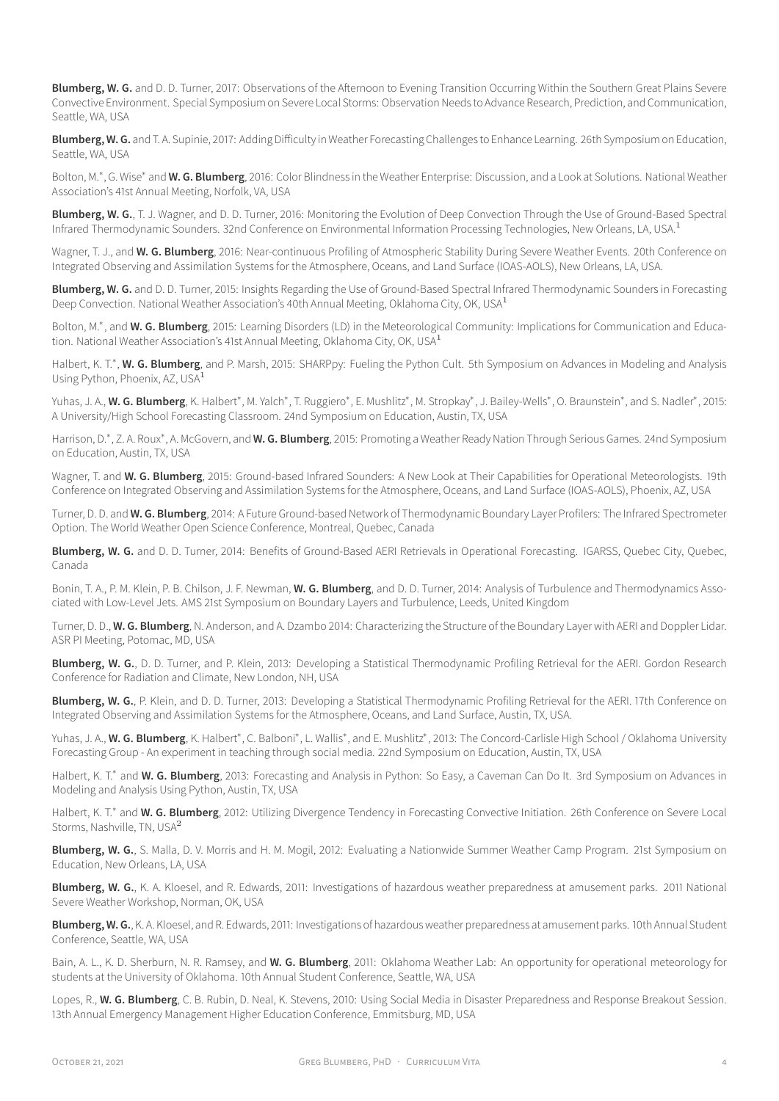**Blumberg, W. G.** and D. D. Turner, 2017: [Observations of the Afternoon to Evening Transition Occurring Within the Southern Great Plains Severe](https://ams.confex.com/ams/97Annual/webprogram/Paper313841.html) [Convective Environment.](https://ams.confex.com/ams/97Annual/webprogram/Paper313841.html) Special Symposium on Severe Local Storms: Observation Needs to Advance Research, Prediction, and Communication, Seattle, WA, USA

**Blumberg, W. G.** and T. A. Supinie, 2017: [Adding Difficulty in Weather Forecasting Challenges to Enhance Learning.](https://ams.confex.com/ams/97Annual/webprogram/Paper315011.html) 26th Symposium on Education, Seattle, WA, USA

Bolton, M.\*, G. Wise<sup>\*</sup> and W. G. Blumberg, 2016: Color Blindness in the Weather Enterprise: Discussion, and a Look at Solutions. National Weather Association's 41st Annual Meeting, Norfolk, VA, USA

**Blumberg, W. G.**, T. J. Wagner, and D. D. Turner, 2016: [Monitoring the Evolution of Deep Convection Through the Use of Ground-Based Spectral](https://ams.confex.com/ams/96Annual/webprogram/Paper284726.html) [Infrared Thermodynamic Sounders](https://ams.confex.com/ams/96Annual/webprogram/Paper284726.html). 32nd Conference on Environmental Information Processing Technologies, New Orleans, LA, USA.<sup>1</sup>

Wagner, T. J., and **W. G. Blumberg**, 2016: [Near-continuous Profiling of Atmospheric Stability During Severe Weather Events.](https://ams.confex.com/ams/96Annual/webprogram/Paper289298.html) 20th Conference on Integrated Observing and Assimilation Systems for the Atmosphere, Oceans, and Land Surface (IOAS-AOLS), New Orleans, LA, USA.

**Blumberg, W. G.** and D. D. Turner, 2015: Insights Regarding the Use of Ground-Based Spectral Infrared Thermodynamic Sounders in Forecasting Deep Convection. National Weather Association's 40th Annual Meeting, Oklahoma City, OK, USA<sup>1</sup>

Bolton, M.<sup>\*</sup>, and W. G. Blumberg, 2015: [Learning Disorders \(LD\) in the Meteorological Community: Implications for Communication and Educa](http://slideplayer.com/slide/9176419/)[tion](http://slideplayer.com/slide/9176419/). National Weather Association's 41st Annual Meeting, Oklahoma City, OK, USA $^1$ 

Halbert, K. T.\*, W. G. Blumberg, and P. Marsh, 2015: [SHARPpy: Fueling the Python Cult. 5th Symposium on Advances in Modeling and Analysis](https://ams.confex.com/ams/95Annual/webprogram/Paper270233.html) [Using Python,](https://ams.confex.com/ams/95Annual/webprogram/Paper270233.html) Phoenix, AZ, USA<sup>1</sup>

Yuhas, J. A., **W. G. Blumberg**, K. Halbert\*, M. Yalch\*, T. Ruggiero\*, E. Mushlitz\*, M. Stropkay\*, J. Bailey-Wells\*, O. Braunstein\*, and S. Nadler\*, 2015: [A University/High School Forecasting Classroom.](https://ams.confex.com/ams/95Annual/webprogram/Paper265787.html) 24nd Symposium on Education, Austin, TX, USA

Harrison, D.\*, Z. A. Roux<sup>\*</sup>, A. McGovern, and **W. G. Blumberg**, 2015: [Promoting a Weather Ready Nation Through Serious Games.](https://ams.confex.com/ams/95Annual/webprogram/Paper259312.html) 24nd Symposium on Education, Austin, TX, USA

Wagner, T. and **W. G. Blumberg**, 2015: [Ground-based Infrared Sounders: A New Look at Their Capabilities for Operational Meteorologists.](https://ams.confex.com/ams/95Annual/webprogram/Paper260639.html) 19th Conference on Integrated Observing and Assimilation Systems for the Atmosphere, Oceans, and Land Surface (IOAS-AOLS), Phoenix, AZ, USA

Turner, D. D. and **W. G. Blumberg**, 2014: [A Future Ground-based Network of Thermodynamic Boundary Layer Profilers: The Infrared Spectrometer](https://www.wmo.int/pages/prog/arep/wwrp/new/wwosc/documents/turner_profiling_vision_wwosc.pdf) [Option.](https://www.wmo.int/pages/prog/arep/wwrp/new/wwosc/documents/turner_profiling_vision_wwosc.pdf) The World Weather Open Science Conference, Montreal, Quebec, Canada

Blumberg, W. G. and D. D. Turner, 2014: [Benefits of Ground-Based AERI Retrievals in Operational Forecasting.](ftp://ftp.legos.obs-mip.fr/pub/tmp3m/IGARSS2014/abstracts/3989.pdf) IGARSS, Quebec City, Quebec, Canada

Bonin, T. A., P. M. Klein, P. B. Chilson, J. F. Newman, **W. G. Blumberg**, and D. D. Turner, 2014: [Analysis of Turbulence and Thermodynamics Asso](https://ams.confex.com/ams/21BLT/webprogram/Paper248197.html)[ciated with Low-Level Jets](https://ams.confex.com/ams/21BLT/webprogram/Paper248197.html). AMS 21st Symposium on Boundary Layers and Turbulence, Leeds, United Kingdom

Turner, D. D., **W. G. Blumberg**, N. Anderson, and A. Dzambo 2014: Characterizing the Structure of the Boundary Layer with AERI and Doppler Lidar. ASR PI Meeting, Potomac, MD, USA

**Blumberg, W. G.**, D. D. Turner, and P. Klein, 2013: Developing a Statistical Thermodynamic Profiling Retrieval for the AERI. Gordon Research Conference for Radiation and Climate, New London, NH, USA

**Blumberg, W. G.**, P. Klein, and D. D. Turner, 2013: [Developing a Statistical Thermodynamic Profiling Retrieval for the AERI](https://ams.confex.com/ams/93Annual/webprogram/Paper217725.html). 17th Conference on Integrated Observing and Assimilation Systems for the Atmosphere, Oceans, and Land Surface, Austin, TX, USA.

Yuhas, J. A., **W. G. Blumberg**, K. Halbert\*, C. Balboni\*, L. Wallis\*, and E. Mushlitz\*, 2013: [The Concord-Carlisle High School / Oklahoma University](https://ams.confex.com/ams/93Annual/webprogram/Paper221498.html) [Forecasting Group - An experiment in teaching through social media.](https://ams.confex.com/ams/93Annual/webprogram/Paper221498.html) 22nd Symposium on Education, Austin, TX, USA

Halbert, K. T.\* and W. G. Blumberg, 2013: [Forecasting and Analysis in Python: So Easy, a Caveman Can Do It](https://ams.confex.com/ams/93Annual/webprogram/Paper213476.html). 3rd Symposium on Advances in Modeling and Analysis Using Python, Austin, TX, USA

Halbert, K. T.\* and W. G. Blumberg, 2012: [Utilizing Divergence Tendency in Forecasting Convective Initiation](https://ams.confex.com/ams/26SLS/webprogram/Paper211764.html). 26th Conference on Severe Local Storms, Nashville, TN, USA<sup>2</sup>

**Blumberg, W. G.**, S. Malla, D. V. Morris and H. M. Mogil, 2012: [Evaluating a Nationwide Summer Weather Camp Program](https://ams.confex.com/ams/92Annual/webprogram/Paper202144.html). 21st Symposium on Education, New Orleans, LA, USA

**Blumberg, W. G.**, K. A. Kloesel, and R. Edwards, 2011: Investigations of hazardous weather preparedness at amusement parks. 2011 National Severe Weather Workshop, Norman, OK, USA

**Blumberg, W. G.**, K. A. Kloesel, and R. Edwards, 2011: [Investigations of hazardous weather preparedness at amusement parks](https://ams.confex.com/ams/91Annual/webprogram/Paper188077.html). 10th Annual Student Conference, Seattle, WA, USA

Bain, A. L., K. D. Sherburn, N. R. Ramsey, and **W. G. Blumberg**, 2011: [Oklahoma Weather Lab: An opportunity for operational meteorology for](https://ams.confex.com/ams/91Annual/webprogram/Paper187924.html) [students at the University of Oklahoma.](https://ams.confex.com/ams/91Annual/webprogram/Paper187924.html) 10th Annual Student Conference, Seattle, WA, USA

Lopes, R., **W. G. Blumberg**, C. B. Rubin, D. Neal, K. Stevens, 2010: [Using Social Media in Disaster Preparedness and Response Breakout Session.](https://www.google.com/url?sa=t&rct=j&q=&esrc=s&source=web&cd=1&ved=0ahUKEwjBvbushpXQAhXslVQKHZlpBMAQFgglMAA&url=https%3A%2F%2Ftraining.fema.gov%2Fhiedu%2F10conf%2Freport%2Fekorikoh%2520-%2520social%2520media.doc&usg=AFQjCNE7FNRfKak5bogh1utz5eF2gBRarg) 13th Annual Emergency Management Higher Education Conference, Emmitsburg, MD, USA